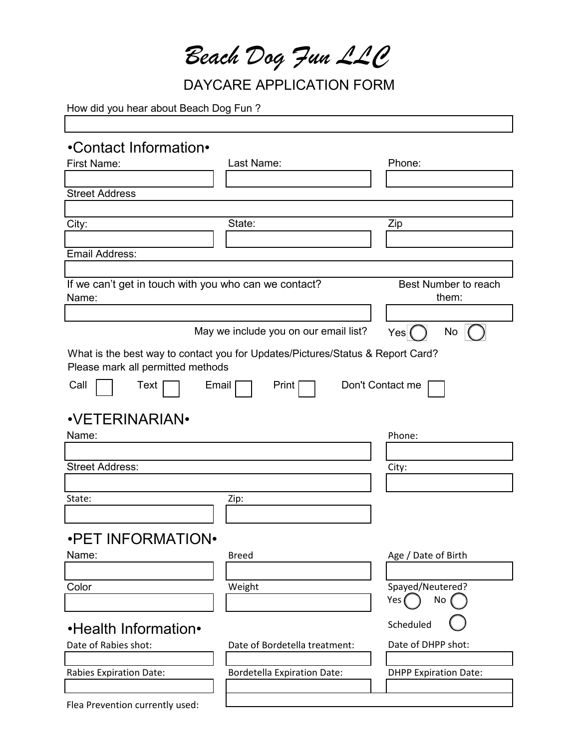*Beach Dog Fun LLC*

DAYCARE APPLICATION FORM

٦

How did you hear about Beach Dog Fun?

| •Contact Information•                                          |                                                                                |                               |
|----------------------------------------------------------------|--------------------------------------------------------------------------------|-------------------------------|
| <b>First Name:</b>                                             | Last Name:                                                                     | Phone:                        |
|                                                                |                                                                                |                               |
| <b>Street Address</b>                                          |                                                                                |                               |
|                                                                |                                                                                |                               |
| City:                                                          | State:                                                                         | Zip                           |
|                                                                |                                                                                |                               |
| <b>Email Address:</b>                                          |                                                                                |                               |
|                                                                |                                                                                |                               |
| If we can't get in touch with you who can we contact?<br>Name: |                                                                                | Best Number to reach<br>them: |
|                                                                |                                                                                |                               |
|                                                                | May we include you on our email list?                                          | No<br>Yes                     |
|                                                                | What is the best way to contact you for Updates/Pictures/Status & Report Card? |                               |
| Please mark all permitted methods                              |                                                                                |                               |
| Call<br>Text                                                   | Email<br>Print                                                                 | Don't Contact me              |
|                                                                |                                                                                |                               |
| <b>•VETERINARIAN•</b>                                          |                                                                                |                               |
| Name:                                                          |                                                                                | Phone:                        |
|                                                                |                                                                                |                               |
| <b>Street Address:</b>                                         |                                                                                | City:                         |
|                                                                |                                                                                |                               |
| State:                                                         | Zip:                                                                           |                               |
|                                                                |                                                                                |                               |
|                                                                |                                                                                |                               |
| <b>.PET INFORMATION.</b>                                       |                                                                                |                               |
| Name:                                                          | <b>Breed</b>                                                                   | Age / Date of Birth           |
|                                                                |                                                                                |                               |
| Color                                                          | Weight                                                                         | Spayed/Neutered?              |
|                                                                |                                                                                | No<br>Yes (                   |
| •Health Information•                                           |                                                                                | Scheduled                     |
| Date of Rabies shot:                                           | Date of Bordetella treatment:                                                  | Date of DHPP shot:            |
|                                                                |                                                                                |                               |
| <b>Rabies Expiration Date:</b>                                 | <b>Bordetella Expiration Date:</b>                                             | <b>DHPP Expiration Date:</b>  |
|                                                                |                                                                                |                               |
| Flea Prevention currently used:                                |                                                                                |                               |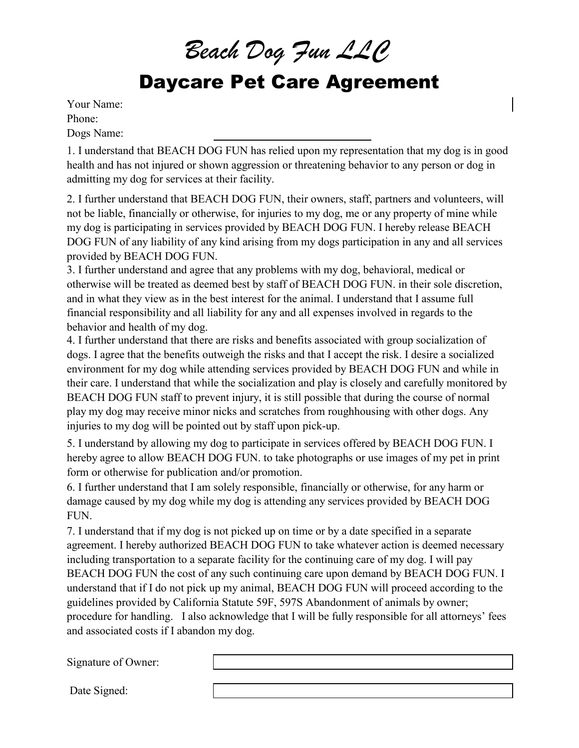*Beach Dog Fun LLC*

## Daycare Pet Care Agreement

Your Name: Phone: Dogs Name:

1. I understand that BEACH DOG FUN has relied upon my representation that my dog is in good health and has not injured or shown aggression or threatening behavior to any person or dog in admitting my dog for services at their facility.

2. I further understand that BEACH DOG FUN, their owners, staff, partners and volunteers, will not be liable, financially or otherwise, for injuries to my dog, me or any property of mine while my dog is participating in services provided by BEACH DOG FUN. I hereby release BEACH DOG FUN of any liability of any kind arising from my dogs participation in any and all services provided by BEACH DOG FUN.

3. I further understand and agree that any problems with my dog, behavioral, medical or otherwise will be treated as deemed best by staff of BEACH DOG FUN. in their sole discretion, and in what they view as in the best interest for the animal. I understand that I assume full financial responsibility and all liability for any and all expenses involved in regards to the behavior and health of my dog.

4. I further understand that there are risks and benefits associated with group socialization of dogs. I agree that the benefits outweigh the risks and that I accept the risk. I desire a socialized environment for my dog while attending services provided by BEACH DOG FUN and while in their care. I understand that while the socialization and play is closely and carefully monitored by BEACH DOG FUN staff to prevent injury, it is still possible that during the course of normal play my dog may receive minor nicks and scratches from roughhousing with other dogs. Any injuries to my dog will be pointed out by staff upon pick-up.

5. I understand by allowing my dog to participate in services offered by BEACH DOG FUN. I hereby agree to allow BEACH DOG FUN. to take photographs or use images of my pet in print form or otherwise for publication and/or promotion.

6. I further understand that I am solely responsible, financially or otherwise, for any harm or damage caused by my dog while my dog is attending any services provided by BEACH DOG FUN.

7. I understand that if my dog is not picked up on time or by a date specified in a separate agreement. I hereby authorized BEACH DOG FUN to take whatever action is deemed necessary including transportation to a separate facility for the continuing care of my dog. I will pay BEACH DOG FUN the cost of any such continuing care upon demand by BEACH DOG FUN. I understand that if I do not pick up my animal, BEACH DOG FUN will proceed according to the guidelines provided by California Statute 59F, 597S Abandonment of animals by owner; procedure for handling. I also acknowledge that I will be fully responsible for all attorneys' fees and associated costs if I abandon my dog.

Signature of Owner:

Date Signed: